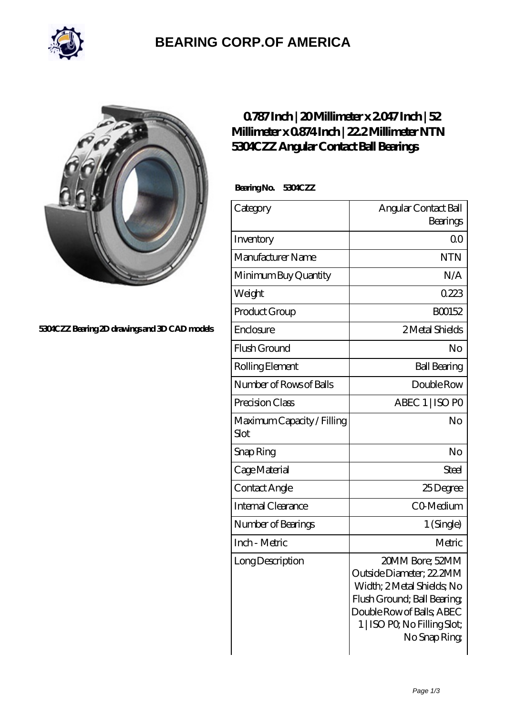

## **[BEARING CORP.OF AMERICA](https://m.bluemondayreview.com)**



**[5304CZZ Bearing 2D drawings and 3D CAD models](https://m.bluemondayreview.com/pic-172890.html)**

## **[0.787 Inch | 20 Millimeter x 2.047 Inch | 52](https://m.bluemondayreview.com/bz-172890-ntn-5304czz-angular-contact-ball-bearings.html) [Millimeter x 0.874 Inch | 22.2 Millimeter NTN](https://m.bluemondayreview.com/bz-172890-ntn-5304czz-angular-contact-ball-bearings.html) [5304CZZ Angular Contact Ball Bearings](https://m.bluemondayreview.com/bz-172890-ntn-5304czz-angular-contact-ball-bearings.html)**

 **Bearing No. 5304CZZ**

| Category                           | Angular Contact Ball                                                                                                                                                                 |
|------------------------------------|--------------------------------------------------------------------------------------------------------------------------------------------------------------------------------------|
|                                    | Bearings                                                                                                                                                                             |
| Inventory                          | 0 <sup>0</sup>                                                                                                                                                                       |
| Manufacturer Name                  | <b>NTN</b>                                                                                                                                                                           |
| Minimum Buy Quantity               | N/A                                                                                                                                                                                  |
| Weight                             | 0223                                                                                                                                                                                 |
| Product Group                      | BO0152                                                                                                                                                                               |
| Enclosure                          | 2 Metal Shields                                                                                                                                                                      |
| Flush Ground                       | No                                                                                                                                                                                   |
| Rolling Element                    | <b>Ball Bearing</b>                                                                                                                                                                  |
| Number of Rows of Balls            | Double Row                                                                                                                                                                           |
| Precision Class                    | ABEC 1   ISO PO                                                                                                                                                                      |
| Maximum Capacity / Filling<br>Slot | No                                                                                                                                                                                   |
| Snap Ring                          | No                                                                                                                                                                                   |
| Cage Material                      | Steel                                                                                                                                                                                |
| Contact Angle                      | 25Degree                                                                                                                                                                             |
| <b>Internal Clearance</b>          | CO-Medium                                                                                                                                                                            |
| Number of Bearings                 | 1 (Single)                                                                                                                                                                           |
| Inch - Metric                      | Metric                                                                                                                                                                               |
| Long Description                   | 20MM Bore; 52MM<br>Outside Diameter; 22.2MM<br>Width; 2Metal Shields, No<br>Flush Ground; Ball Bearing;<br>Double Row of Balls, ABEC<br>1   ISO PO, No Filling Slot;<br>No Snap Ring |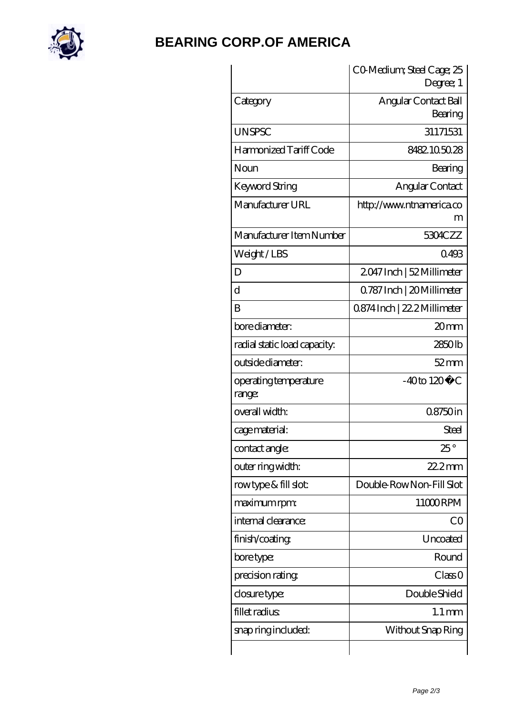

## **[BEARING CORP.OF AMERICA](https://m.bluemondayreview.com)**

|                                 | CO Medium; Steel Cage; 25<br>Degree; 1 |
|---------------------------------|----------------------------------------|
| Category                        | Angular Contact Ball<br>Bearing        |
| <b>UNSPSC</b>                   | 31171531                               |
| Harmonized Tariff Code          | 8482105028                             |
| Noun                            | Bearing                                |
| Keyword String                  | Angular Contact                        |
| Manufacturer URL                | http://www.ntnamerica.co<br>m          |
| Manufacturer Item Number        | 5304CZZ                                |
| Weight/LBS                      | 0493                                   |
| D                               | 2047 Inch   52 Millimeter              |
| $\overline{\rm d}$              | 0.787 Inch   20 Millimeter             |
| B                               | 0874Inch   22.2 Millimeter             |
| bore diameter:                  | 20mm                                   |
| radial static load capacity:    | 2850lb                                 |
| outside diameter:               | $52 \text{mm}$                         |
| operating temperature<br>range: | $-40$ to $120^{\circ}$ C               |
| overall width:                  | 08750in                                |
| cage material:                  | Steel                                  |
| contact angle:                  | $25^{\circ}$                           |
| outer ring width:               | $222$ mm                               |
| rowtype & fill slot:            | Double-RowNon-Fill Slot                |
| maximum rpm:                    | 11000RPM                               |
| internal clearance:             | CO                                     |
| finish/coating                  | Uncoated                               |
| bore type:                      | Round                                  |
| precision rating                | Class 0                                |
| closure type:                   | Double Shield                          |
| fillet radius                   | $1.1 \,\mathrm{mm}$                    |
| snap ring included:             | Without Snap Ring                      |
|                                 |                                        |